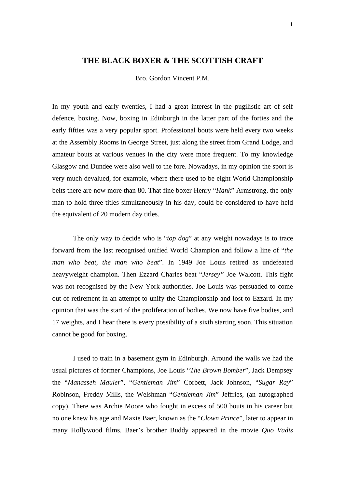## **THE BLACK BOXER & THE SCOTTISH CRAFT**

Bro. Gordon Vincent P.M.

In my youth and early twenties, I had a great interest in the pugilistic art of self defence, boxing. Now, boxing in Edinburgh in the latter part of the forties and the early fifties was a very popular sport. Professional bouts were held every two weeks at the Assembly Rooms in George Street, just along the street from Grand Lodge, and amateur bouts at various venues in the city were more frequent. To my knowledge Glasgow and Dundee were also well to the fore. Nowadays, in my opinion the sport is very much devalued, for example, where there used to be eight World Championship belts there are now more than 80. That fine boxer Henry "*Hank*" Armstrong, the only man to hold three titles simultaneously in his day, could be considered to have held the equivalent of 20 modern day titles.

The only way to decide who is "*top dog*" at any weight nowadays is to trace forward from the last recognised unified World Champion and follow a line of "*the man who beat, the man who beat*". In 1949 Joe Louis retired as undefeated heavyweight champion. Then Ezzard Charles beat "*Jersey"* Joe Walcott. This fight was not recognised by the New York authorities. Joe Louis was persuaded to come out of retirement in an attempt to unify the Championship and lost to Ezzard. In my opinion that was the start of the proliferation of bodies. We now have five bodies, and 17 weights, and I hear there is every possibility of a sixth starting soon. This situation cannot be good for boxing.

I used to train in a basement gym in Edinburgh. Around the walls we had the usual pictures of former Champions, Joe Louis "*The Brown Bomber*", Jack Dempsey the "*Manasseh Mauler*", "*Gentleman Jim*" Corbett, Jack Johnson, "*Sugar Ray*" Robinson, Freddy Mills, the Welshman "*Gentleman Jim*" Jeffries, (an autographed copy). There was Archie Moore who fought in excess of 500 bouts in his career but no one knew his age and Maxie Baer, known as the "*Clown Prince*", later to appear in many Hollywood films. Baer's brother Buddy appeared in the movie *Quo Vadis*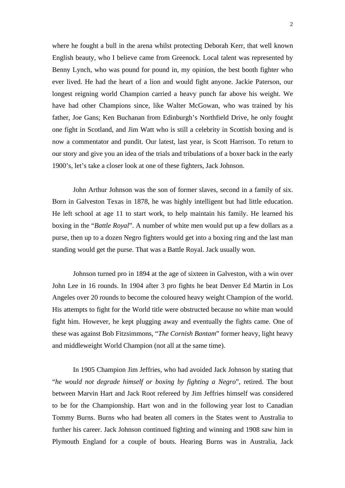where he fought a bull in the arena whilst protecting Deborah Kerr, that well known English beauty, who I believe came from Greenock. Local talent was represented by Benny Lynch, who was pound for pound in, my opinion, the best booth fighter who ever lived. He had the heart of a lion and would fight anyone. Jackie Paterson, our longest reigning world Champion carried a heavy punch far above his weight. We have had other Champions since, like Walter McGowan, who was trained by his father, Joe Gans; Ken Buchanan from Edinburgh's Northfield Drive, he only fought one fight in Scotland, and Jim Watt who is still a celebrity in Scottish boxing and is now a commentator and pundit. Our latest, last year, is Scott Harrison. To return to our story and give you an idea of the trials and tribulations of a boxer back in the early 1900's, let's take a closer look at one of these fighters, Jack Johnson.

John Arthur Johnson was the son of former slaves, second in a family of six. Born in Galveston Texas in 1878, he was highly intelligent but had little education. He left school at age 11 to start work, to help maintain his family. He learned his boxing in the "*Battle Royal*". A number of white men would put up a few dollars as a purse, then up to a dozen Negro fighters would get into a boxing ring and the last man standing would get the purse. That was a Battle Royal. Jack usually won.

Johnson turned pro in 1894 at the age of sixteen in Galveston, with a win over John Lee in 16 rounds. In 1904 after 3 pro fights he beat Denver Ed Martin in Los Angeles over 20 rounds to become the coloured heavy weight Champion of the world. His attempts to fight for the World title were obstructed because no white man would fight him. However, he kept plugging away and eventually the fights came. One of these was against Bob Fitzsimmons, "*The Cornish Bantam*" former heavy, light heavy and middleweight World Champion (not all at the same time).

In 1905 Champion Jim Jeffries, who had avoided Jack Johnson by stating that "*he would not degrade himself or boxing by fighting a Negro*", retired. The bout between Marvin Hart and Jack Root refereed by Jim Jeffries himself was considered to be for the Championship. Hart won and in the following year lost to Canadian Tommy Burns. Burns who had beaten all comers in the States went to Australia to further his career. Jack Johnson continued fighting and winning and 1908 saw him in Plymouth England for a couple of bouts. Hearing Burns was in Australia, Jack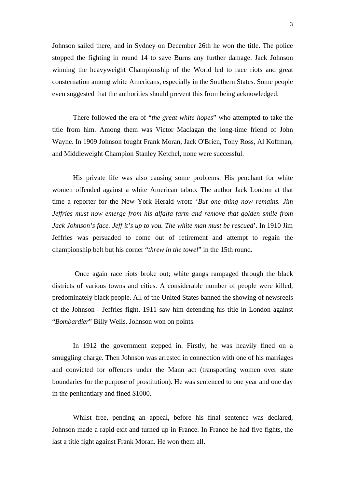Johnson sailed there, and in Sydney on December 26th he won the title. The police stopped the fighting in round 14 to save Burns any further damage. Jack Johnson winning the heavyweight Championship of the World led to race riots and great consternation among white Americans, especially in the Southern States. Some people even suggested that the authorities should prevent this from being acknowledged.

There followed the era of "*the great white hopes*" who attempted to take the title from him. Among them was Victor Maclagan the long-time friend of John Wayne. In 1909 Johnson fought Frank Moran, Jack O'Brien, Tony Ross, Al Koffman, and Middleweight Champion Stanley Ketchel, none were successful.

His private life was also causing some problems. His penchant for white women offended against a white American taboo. The author Jack London at that time a reporter for the New York Herald wrote '*But one thing now remains. Jim Jeffries must now emerge from his alfalfa farm and remove that golden smile from Jack Johnson's face. Jeff it's up to you. The white man must be rescued*'. In 1910 Jim Jeffries was persuaded to come out of retirement and attempt to regain the championship belt but his corner "*threw in the towel*" in the 15th round.

 Once again race riots broke out; white gangs rampaged through the black districts of various towns and cities. A considerable number of people were killed, predominately black people. All of the United States banned the showing of newsreels of the Johnson - Jeffries fight. 1911 saw him defending his title in London against "*Bombardier*" Billy Wells. Johnson won on points.

In 1912 the government stepped in. Firstly, he was heavily fined on a smuggling charge. Then Johnson was arrested in connection with one of his marriages and convicted for offences under the Mann act (transporting women over state boundaries for the purpose of prostitution). He was sentenced to one year and one day in the penitentiary and fined \$1000.

Whilst free, pending an appeal, before his final sentence was declared, Johnson made a rapid exit and turned up in France. In France he had five fights, the last a title fight against Frank Moran. He won them all.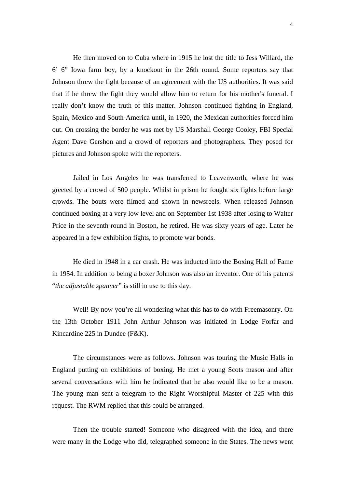He then moved on to Cuba where in 1915 he lost the title to Jess Willard, the 6' 6" Iowa farm boy, by a knockout in the 26th round. Some reporters say that Johnson threw the fight because of an agreement with the US authorities. It was said that if he threw the fight they would allow him to return for his mother's funeral. I really don't know the truth of this matter. Johnson continued fighting in England, Spain, Mexico and South America until, in 1920, the Mexican authorities forced him out. On crossing the border he was met by US Marshall George Cooley, FBI Special Agent Dave Gershon and a crowd of reporters and photographers. They posed for pictures and Johnson spoke with the reporters.

Jailed in Los Angeles he was transferred to Leavenworth, where he was greeted by a crowd of 500 people. Whilst in prison he fought six fights before large crowds. The bouts were filmed and shown in newsreels. When released Johnson continued boxing at a very low level and on September 1st 1938 after losing to Walter Price in the seventh round in Boston, he retired. He was sixty years of age. Later he appeared in a few exhibition fights, to promote war bonds.

He died in 1948 in a car crash. He was inducted into the Boxing Hall of Fame in 1954. In addition to being a boxer Johnson was also an inventor. One of his patents "*the adjustable spanner*" is still in use to this day.

Well! By now you're all wondering what this has to do with Freemasonry. On the 13th October 1911 John Arthur Johnson was initiated in Lodge Forfar and Kincardine 225 in Dundee (F&K).

The circumstances were as follows. Johnson was touring the Music Halls in England putting on exhibitions of boxing. He met a young Scots mason and after several conversations with him he indicated that he also would like to be a mason. The young man sent a telegram to the Right Worshipful Master of 225 with this request. The RWM replied that this could be arranged.

Then the trouble started! Someone who disagreed with the idea, and there were many in the Lodge who did, telegraphed someone in the States. The news went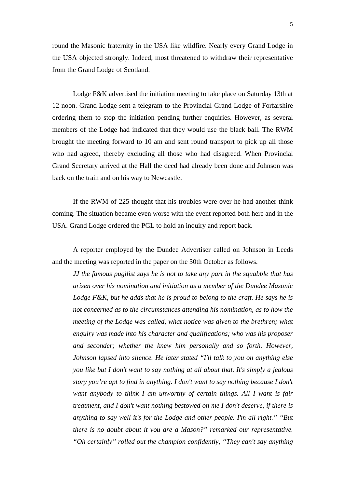round the Masonic fraternity in the USA like wildfire. Nearly every Grand Lodge in the USA objected strongly. Indeed, most threatened to withdraw their representative from the Grand Lodge of Scotland.

Lodge F&K advertised the initiation meeting to take place on Saturday 13th at 12 noon. Grand Lodge sent a telegram to the Provincial Grand Lodge of Forfarshire ordering them to stop the initiation pending further enquiries. However, as several members of the Lodge had indicated that they would use the black ball. The RWM brought the meeting forward to 10 am and sent round transport to pick up all those who had agreed, thereby excluding all those who had disagreed. When Provincial Grand Secretary arrived at the Hall the deed had already been done and Johnson was back on the train and on his way to Newcastle.

If the RWM of 225 thought that his troubles were over he had another think coming. The situation became even worse with the event reported both here and in the USA. Grand Lodge ordered the PGL to hold an inquiry and report back.

A reporter employed by the Dundee Advertiser called on Johnson in Leeds and the meeting was reported in the paper on the 30th October as follows.

*JJ the famous pugilist says he is not to take any part in the squabble that has arisen over his nomination and initiation as a member of the Dundee Masonic Lodge F&K, but he adds that he is proud to belong to the craft. He says he is not concerned as to the circumstances attending his nomination, as to how the meeting of the Lodge was called, what notice was given to the brethren; what enquiry was made into his character and qualifications; who was his proposer and seconder; whether the knew him personally and so forth. However, Johnson lapsed into silence. He later stated "I'll talk to you on anything else you like but I don't want to say nothing at all about that. It's simply a jealous story you're apt to find in anything. I don't want to say nothing because I don't want anybody to think I am unworthy of certain things. All I want is fair treatment, and I don't want nothing bestowed on me I don't deserve, if there is anything to say well it's for the Lodge and other people. I'm all right." "But there is no doubt about it you are a Mason?" remarked our representative. "Oh certainly" rolled out the champion confidently, "They can't say anything*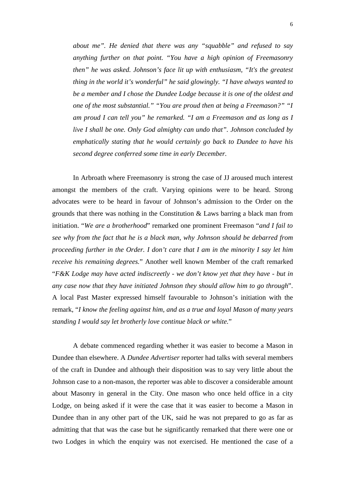*about me". He denied that there was any "squabble" and refused to say anything further on that point. "You have a high opinion of Freemasonry then" he was asked. Johnson's face lit up with enthusiasm, "It's the greatest thing in the world it's wonderful" he said glowingly. "I have always wanted to be a member and I chose the Dundee Lodge because it is one of the oldest and one of the most substantial." "You are proud then at being a Freemason?" "I am proud I can tell you" he remarked. "I am a Freemason and as long as I live I shall be one. Only God almighty can undo that". Johnson concluded by emphatically stating that he would certainly go back to Dundee to have his second degree conferred some time in early December.* 

In Arbroath where Freemasonry is strong the case of JJ aroused much interest amongst the members of the craft. Varying opinions were to be heard. Strong advocates were to be heard in favour of Johnson's admission to the Order on the grounds that there was nothing in the Constitution & Laws barring a black man from initiation. "*We are a brotherhood*" remarked one prominent Freemason "*and I fail to see why from the fact that he is a black man, why Johnson should be debarred from proceeding further in the Order. I don't care that I am in the minority I say let him receive his remaining degrees.*" Another well known Member of the craft remarked "*F&K Lodge may have acted indiscreetly - we don't know yet that they have - but in any case now that they have initiated Johnson they should allow him to go through*". A local Past Master expressed himself favourable to Johnson's initiation with the remark, "*I know the feeling against him, and as a true and loyal Mason of many years standing I would say let brotherly love continue black or white.*"

A debate commenced regarding whether it was easier to become a Mason in Dundee than elsewhere. A *Dundee Advertiser* reporter had talks with several members of the craft in Dundee and although their disposition was to say very little about the Johnson case to a non-mason, the reporter was able to discover a considerable amount about Masonry in general in the City. One mason who once held office in a city Lodge, on being asked if it were the case that it was easier to become a Mason in Dundee than in any other part of the UK, said he was not prepared to go as far as admitting that that was the case but he significantly remarked that there were one or two Lodges in which the enquiry was not exercised. He mentioned the case of a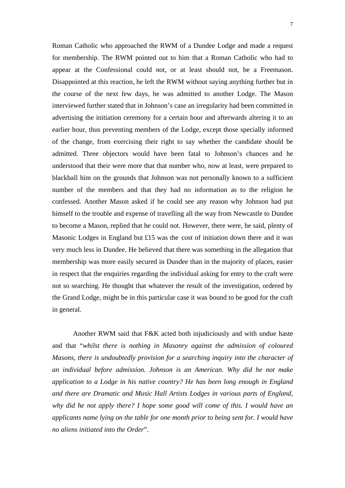Roman Catholic who approached the RWM of a Dundee Lodge and made a request for membership. The RWM pointed out to him that a Roman Catholic who had to appear at the Confessional could not, or at least should not, be a Freemason. Disappointed at this reaction, he left the RWM without saying anything further but in the course of the next few days, he was admitted to another Lodge. The Mason interviewed further stated that in Johnson's case an irregularity had been committed in advertising the initiation ceremony for a certain hour and afterwards altering it to an earlier hour, thus preventing members of the Lodge, except those specially informed of the change, from exercising their right to say whether the candidate should be admitted. Three objectors would have been fatal to Johnson's chances and he understood that their were more that that number who, now at least, were prepared to blackball him on the grounds that Johnson was not personally known to a sufficient number of the members and that they had no information as to the religion he confessed. Another Mason asked if he could see any reason why Johnson had put himself to the trouble and expense of travelling all the way from Newcastle to Dundee to become a Mason, replied that he could not. However, there were, he said, plenty of Masonic Lodges in England but £15 was the cost of initiation down there and it was very much less in Dundee. He believed that there was something in the allegation that membership was more easily secured in Dundee than in the majority of places, easier in respect that the enquiries regarding the individual asking for entry to the craft were not so searching. He thought that whatever the result of the investigation, ordered by the Grand Lodge, might be in this particular case it was bound to be good for the craft in general.

Another RWM said that F&K acted both injudiciously and with undue haste and that "*whilst there is nothing in Masonry against the admission of coloured Masons, there is undoubtedly provision for a searching inquiry into the character of an individual before admission. Johnson is an American. Why did he not make application to a Lodge in his native country? He has been long enough in England and there are Dramatic and Music Hall Artists Lodges in various parts of England, why did he not apply there? I hope some good will come of this. I would have an applicants name lying on the table for one month prior to being sent for. I would have no aliens initiated into the Order*".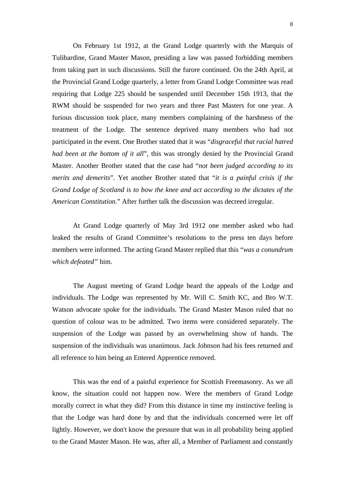On February 1st 1912, at the Grand Lodge quarterly with the Marquis of Tulibardine, Grand Master Mason, presiding a law was passed forbidding members from taking part in such discussions. Still the furore continued. On the 24th April, at the Provincial Grand Lodge quarterly, a letter from Grand Lodge Committee was read requiring that Lodge 225 should be suspended until December 15th 1913, that the RWM should be suspended for two years and three Past Masters for one year. A furious discussion took place, many members complaining of the harshness of the treatment of the Lodge. The sentence deprived many members who had not participated in the event. One Brother stated that it was "*disgraceful that racial hatred had been at the bottom of it all*", this was strongly denied by the Provincial Grand Master. Another Brother stated that the case had "*not been judged according to its merits and demerits*". Yet another Brother stated that "*it is a painful crisis if the Grand Lodge of Scotland is to bow the knee and act according to the dictates of the American Constitution.*" After further talk the discussion was decreed irregular.

At Grand Lodge quarterly of May 3rd 1912 one member asked who had leaked the results of Grand Committee's resolutions to the press ten days before members were informed. The acting Grand Master replied that this "*was a conundrum which defeated"* him.

The August meeting of Grand Lodge heard the appeals of the Lodge and individuals. The Lodge was represented by Mr. Will C. Smith KC, and Bro W.T. Watson advocate spoke for the individuals. The Grand Master Mason ruled that no question of colour was to be admitted. Two items were considered separately. The suspension of the Lodge was passed by an overwhelming show of hands. The suspension of the individuals was unanimous. Jack Johnson had his fees returned and all reference to him being an Entered Apprentice removed.

This was the end of a painful experience for Scottish Freemasonry. As we all know, the situation could not happen now. Were the members of Grand Lodge morally correct in what they did? From this distance in time my instinctive feeling is that the Lodge was hard done by and that the individuals concerned were let off lightly. However, we don't know the pressure that was in all probability being applied to the Grand Master Mason. He was, after all, a Member of Parliament and constantly